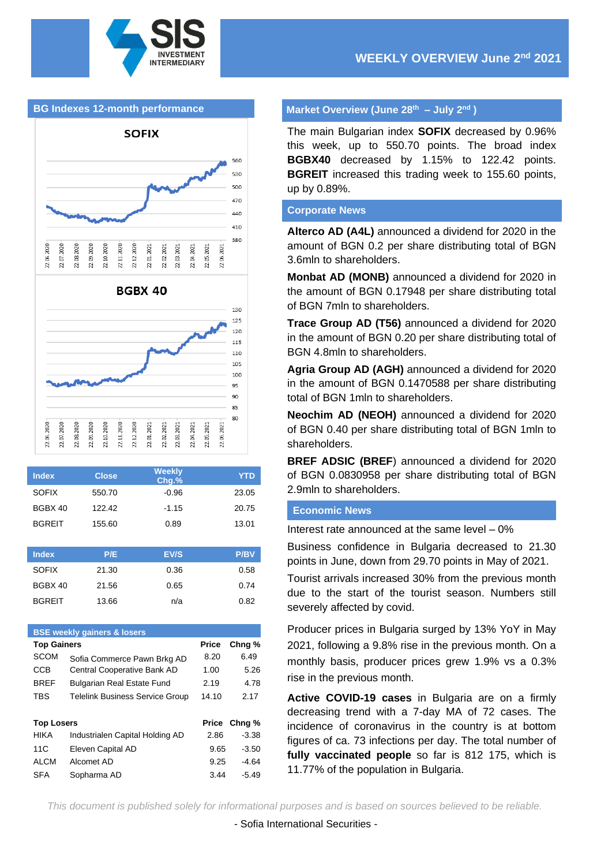

# **BG Indexes 12-month performance**



| <b>Index</b>  | <b>Close</b> | <b>Weekly</b><br>Chg.% | <b>YTD</b>  |
|---------------|--------------|------------------------|-------------|
| <b>SOFIX</b>  | 550.70       | $-0.96$                | 23.05       |
| BGBX 40       | 122.42       | $-1.15$                | 20.75       |
| <b>BGREIT</b> | 155.60       | 0.89                   | 13.01       |
|               |              |                        |             |
| <b>Index</b>  | P/E          | EV/S                   | <b>P/BV</b> |
| <b>SOFIX</b>  | 21.30        | 0.36                   | 0.58        |
| BGBX 40       | 21.56        | 0.65                   | 0.74        |
| <b>BGREIT</b> | 13.66        | n/a                    | 0.82        |

| <b>BSE weekly gainers &amp; losers</b> |                                        |              |                   |  |  |  |
|----------------------------------------|----------------------------------------|--------------|-------------------|--|--|--|
| <b>Top Gainers</b>                     |                                        | <b>Price</b> | Chng <sub>%</sub> |  |  |  |
| <b>SCOM</b>                            | Sofia Commerce Pawn Brkg AD            | 8.20         | 6.49              |  |  |  |
| CCB                                    | Central Cooperative Bank AD            | 1.00         | 5.26              |  |  |  |
| <b>BREF</b>                            | <b>Bulgarian Real Estate Fund</b>      | 2.19         | 4.78              |  |  |  |
| <b>TBS</b>                             | <b>Telelink Business Service Group</b> | 14.10        | 2.17              |  |  |  |
|                                        |                                        |              |                   |  |  |  |
| <b>Top Losers</b>                      |                                        | Price        | Chng %            |  |  |  |
| <b>HIKA</b>                            | Industrialen Capital Holding AD        | 2.86         | $-3.38$           |  |  |  |
| 11C                                    | Eleven Capital AD                      | 9.65         | $-3.50$           |  |  |  |
| <b>ALCM</b>                            | Alcomet AD                             | 9.25         | -4.64             |  |  |  |
| <b>SFA</b>                             | Sopharma AD                            | 3.44         | $-5.49$           |  |  |  |
|                                        |                                        |              |                   |  |  |  |

#### **Market Overview (June 28 th – July 2 nd )**

The main Bulgarian index **SOFIX** decreased by 0.96% this week, up to 550.70 points. The broad index **BGBX40** decreased by 1.15% to 122.42 points. **BGREIT** increased this trading week to 155.60 points, up by 0.89%.

#### **Corporate News**

**Alterco AD (A4L)** announced a dividend for 2020 in the amount of BGN 0.2 per share distributing total of BGN 3.6mln to shareholders.

**Monbat AD (MONB)** announced a dividend for 2020 in the amount of BGN 0.17948 per share distributing total of BGN 7mln to shareholders.

**Trace Group AD (T56)** announced a dividend for 2020 in the amount of BGN 0.20 per share distributing total of BGN 4.8mln to shareholders.

**Agria Group AD (AGH)** announced a dividend for 2020 in the amount of BGN 0.1470588 per share distributing total of BGN 1mln to shareholders.

**Neochim AD (NEOH)** announced a dividend for 2020 of BGN 0.40 per share distributing total of BGN 1mln to shareholders.

**BREF ADSIC (BREF**) announced a dividend for 2020 of BGN 0.0830958 per share distributing total of BGN 2.9mln to shareholders.

#### **Economic News**

Interest rate announced at the same level – 0%

Business confidence in Bulgaria decreased to 21.30 points in June, down from 29.70 points in May of 2021.

Tourist arrivals increased 30% from the previous month due to the start of the tourist season. Numbers still severely affected by covid.

Producer prices in Bulgaria surged by 13% YoY in May 2021, following a 9.8% rise in the previous month. On a monthly basis, producer prices grew 1.9% vs a 0.3% rise in the previous month.

**Active COVID-19 cases** in Bulgaria are on a firmly decreasing trend with a 7-day MA of 72 cases. The incidence of coronavirus in the country is at bottom figures of ca. 73 infections per day. The total number of **fully vaccinated people** so far is 812 175, which is 11.77% of the population in Bulgaria.

*This document is published solely for informational purposes and is based on sources believed to be reliable.*